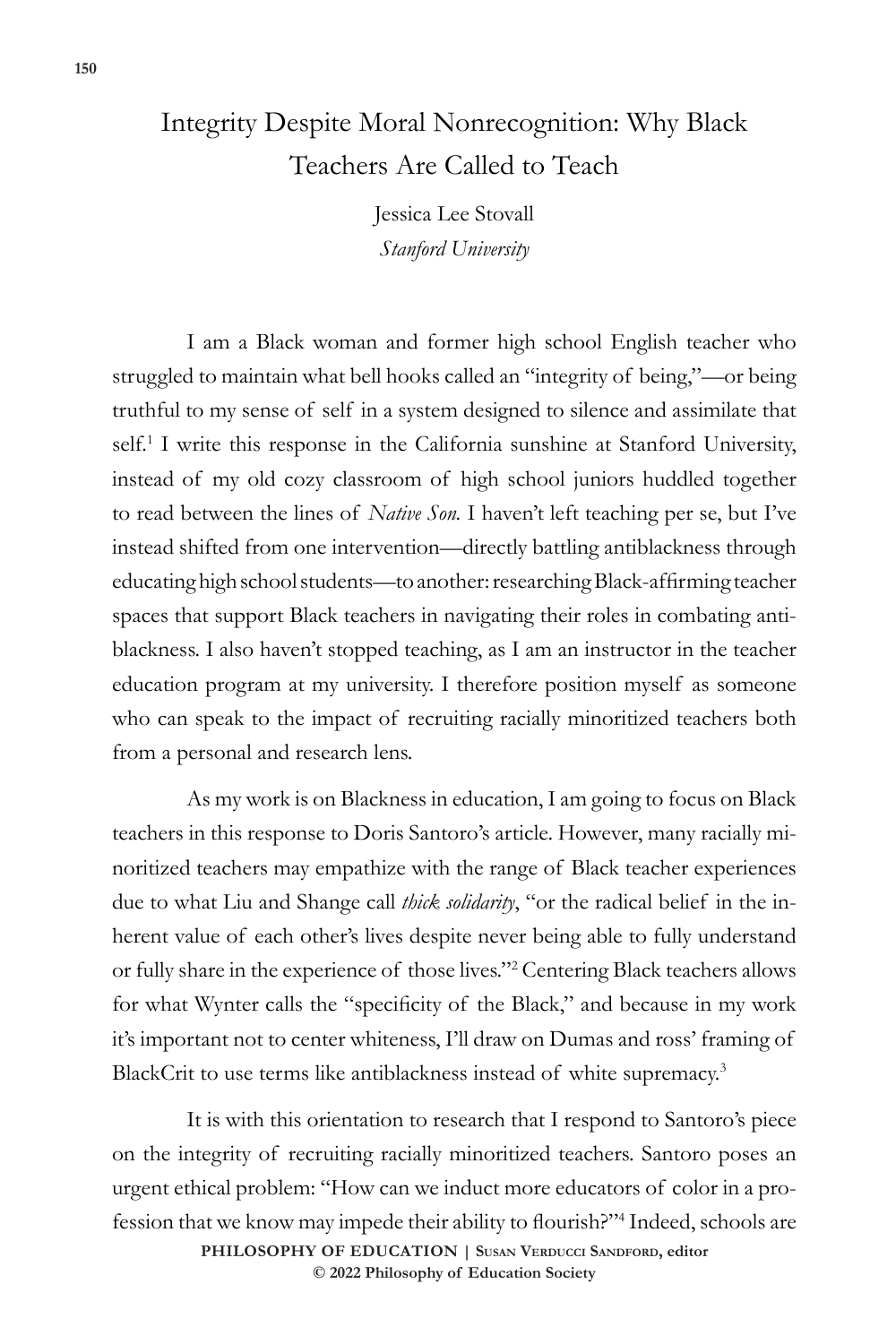## Integrity Despite Moral Nonrecognition: Why Black Teachers Are Called to Teach

Jessica Lee Stovall *Stanford University*

I am a Black woman and former high school English teacher who struggled to maintain what bell hooks called an "integrity of being,"—or being truthful to my sense of self in a system designed to silence and assimilate that self.<sup>1</sup> I write this response in the California sunshine at Stanford University, instead of my old cozy classroom of high school juniors huddled together to read between the lines of *Native Son.* I haven't left teaching per se, but I've instead shifted from one intervention—directly battling antiblackness through educating high school students—to another: researching Black-affirming teacher spaces that support Black teachers in navigating their roles in combating antiblackness. I also haven't stopped teaching, as I am an instructor in the teacher education program at my university. I therefore position myself as someone who can speak to the impact of recruiting racially minoritized teachers both from a personal and research lens.

As my work is on Blackness in education, I am going to focus on Black teachers in this response to Doris Santoro's article. However, many racially minoritized teachers may empathize with the range of Black teacher experiences due to what Liu and Shange call *thick solidarity*, "or the radical belief in the inherent value of each other's lives despite never being able to fully understand or fully share in the experience of those lives."2 Centering Black teachers allows for what Wynter calls the "specificity of the Black," and because in my work it's important not to center whiteness, I'll draw on Dumas and ross' framing of BlackCrit to use terms like antiblackness instead of white supremacy.<sup>3</sup>

**PHILOSOPHY OF EDUCATION | Susan Verducci Sandford, editor**  It is with this orientation to research that I respond to Santoro's piece on the integrity of recruiting racially minoritized teachers. Santoro poses an urgent ethical problem: "How can we induct more educators of color in a profession that we know may impede their ability to flourish?"<sup>4</sup> Indeed, schools are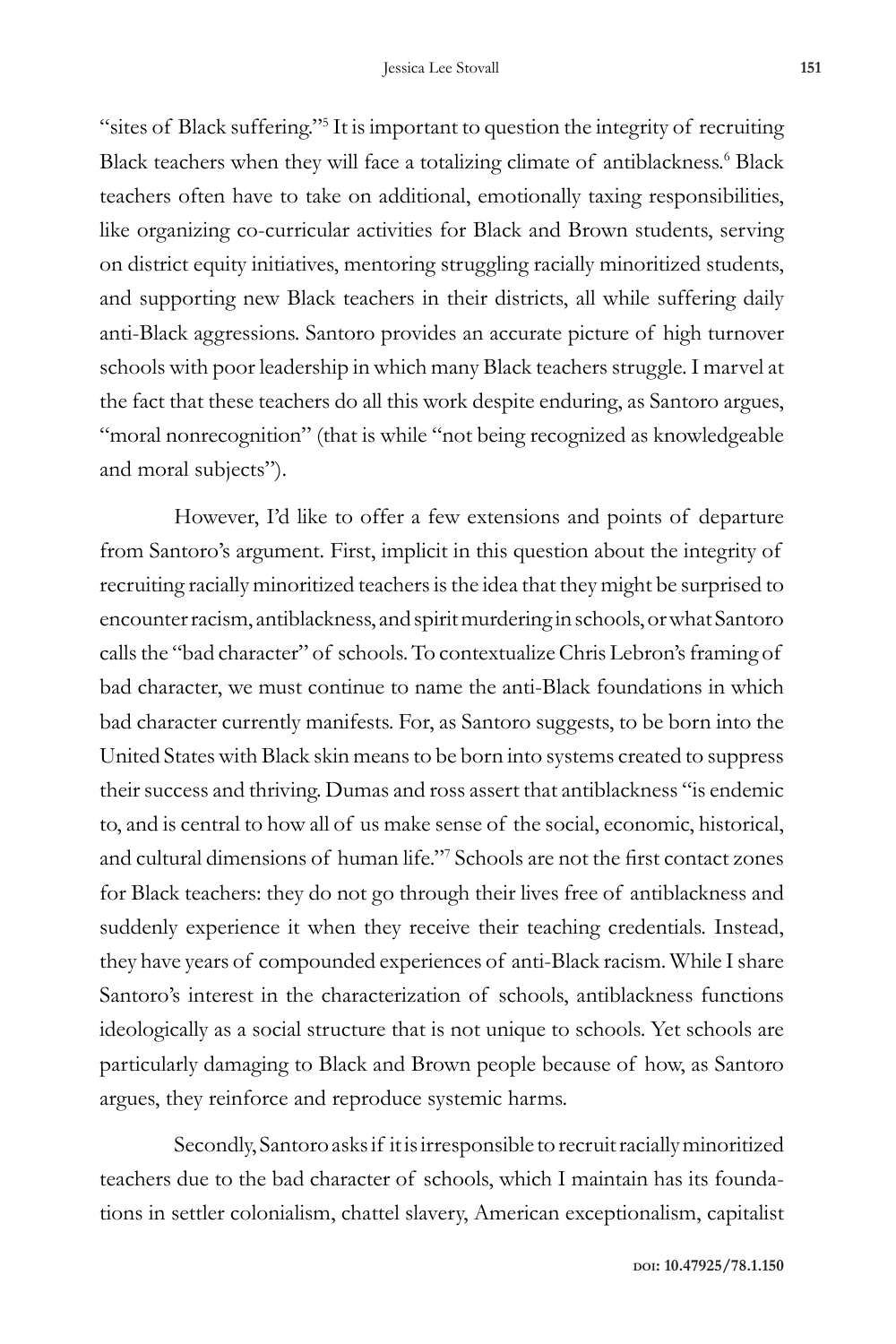"sites of Black suffering."5 It is important to question the integrity of recruiting Black teachers when they will face a totalizing climate of antiblackness.<sup>6</sup> Black teachers often have to take on additional, emotionally taxing responsibilities, like organizing co-curricular activities for Black and Brown students, serving on district equity initiatives, mentoring struggling racially minoritized students, and supporting new Black teachers in their districts, all while suffering daily anti-Black aggressions. Santoro provides an accurate picture of high turnover schools with poor leadership in which many Black teachers struggle. I marvel at the fact that these teachers do all this work despite enduring, as Santoro argues, "moral nonrecognition" (that is while "not being recognized as knowledgeable and moral subjects").

However, I'd like to offer a few extensions and points of departure from Santoro's argument. First, implicit in this question about the integrity of recruiting racially minoritized teachers is the idea that they might be surprised to encounter racism, antiblackness, and spirit murdering in schools, or what Santoro calls the "bad character" of schools. To contextualize Chris Lebron's framing of bad character, we must continue to name the anti-Black foundations in which bad character currently manifests. For, as Santoro suggests, to be born into the United States with Black skin means to be born into systems created to suppress their success and thriving. Dumas and ross assert that antiblackness "is endemic to, and is central to how all of us make sense of the social, economic, historical, and cultural dimensions of human life."7 Schools are not the first contact zones for Black teachers: they do not go through their lives free of antiblackness and suddenly experience it when they receive their teaching credentials. Instead, they have years of compounded experiences of anti-Black racism. While I share Santoro's interest in the characterization of schools, antiblackness functions ideologically as a social structure that is not unique to schools. Yet schools are particularly damaging to Black and Brown people because of how, as Santoro argues, they reinforce and reproduce systemic harms.

Secondly, Santoro asks if it is irresponsible to recruit racially minoritized teachers due to the bad character of schools, which I maintain has its foundations in settler colonialism, chattel slavery, American exceptionalism, capitalist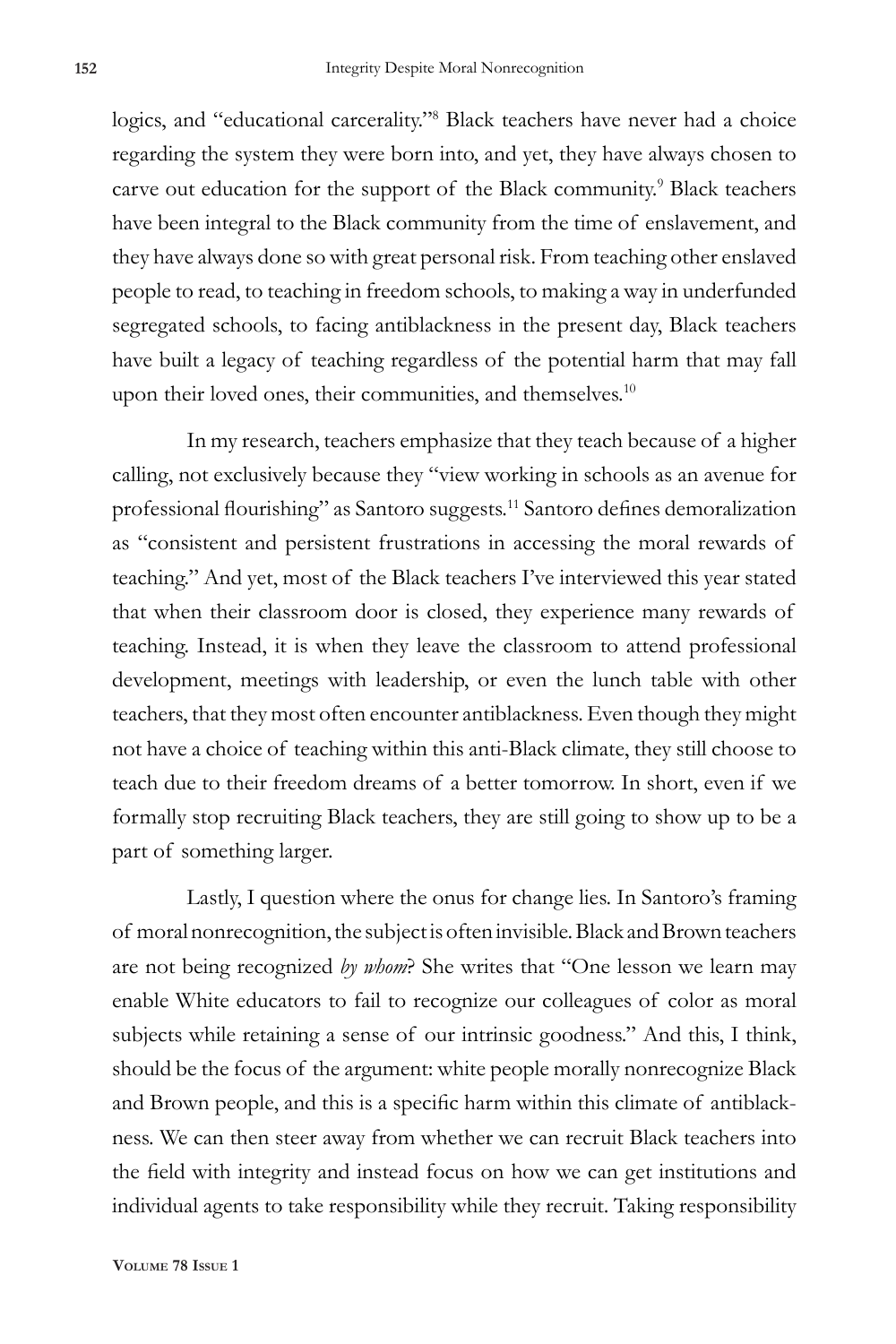logics, and "educational carcerality."8 Black teachers have never had a choice regarding the system they were born into, and yet, they have always chosen to carve out education for the support of the Black community.<sup>9</sup> Black teachers have been integral to the Black community from the time of enslavement, and they have always done so with great personal risk. From teaching other enslaved people to read, to teaching in freedom schools, to making a way in underfunded segregated schools, to facing antiblackness in the present day, Black teachers have built a legacy of teaching regardless of the potential harm that may fall upon their loved ones, their communities, and themselves.<sup>10</sup>

In my research, teachers emphasize that they teach because of a higher calling, not exclusively because they "view working in schools as an avenue for professional flourishing" as Santoro suggests.<sup>11</sup> Santoro defines demoralization as "consistent and persistent frustrations in accessing the moral rewards of teaching." And yet, most of the Black teachers I've interviewed this year stated that when their classroom door is closed, they experience many rewards of teaching. Instead, it is when they leave the classroom to attend professional development, meetings with leadership, or even the lunch table with other teachers, that they most often encounter antiblackness. Even though they might not have a choice of teaching within this anti-Black climate, they still choose to teach due to their freedom dreams of a better tomorrow. In short, even if we formally stop recruiting Black teachers, they are still going to show up to be a part of something larger.

Lastly, I question where the onus for change lies. In Santoro's framing of moral nonrecognition, the subject is often invisible. Black and Brown teachers are not being recognized *by whom*? She writes that "One lesson we learn may enable White educators to fail to recognize our colleagues of color as moral subjects while retaining a sense of our intrinsic goodness." And this, I think, should be the focus of the argument: white people morally nonrecognize Black and Brown people, and this is a specific harm within this climate of antiblackness. We can then steer away from whether we can recruit Black teachers into the field with integrity and instead focus on how we can get institutions and individual agents to take responsibility while they recruit. Taking responsibility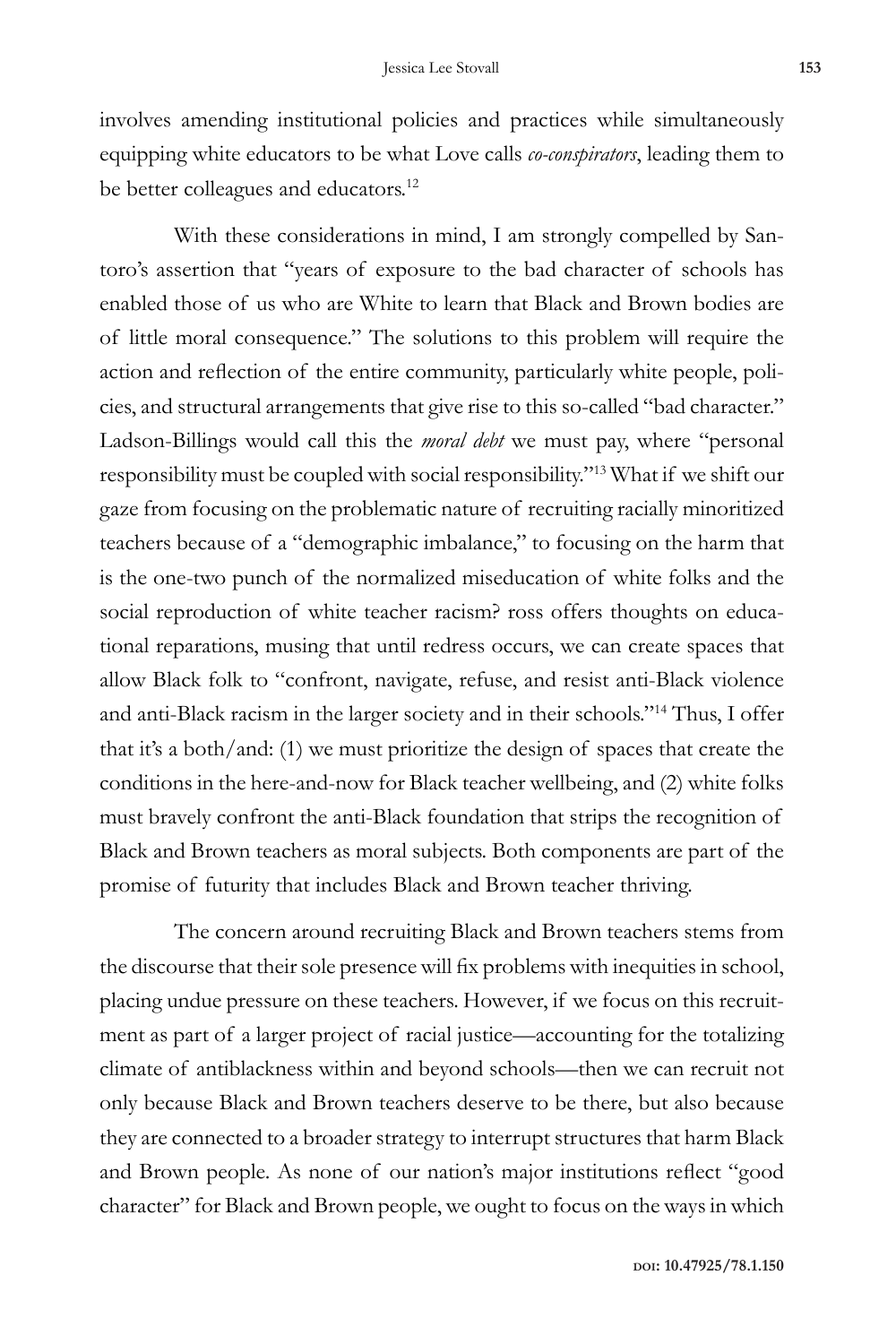involves amending institutional policies and practices while simultaneously equipping white educators to be what Love calls *co-conspirators*, leading them to be better colleagues and educators.<sup>12</sup>

With these considerations in mind, I am strongly compelled by Santoro's assertion that "years of exposure to the bad character of schools has enabled those of us who are White to learn that Black and Brown bodies are of little moral consequence." The solutions to this problem will require the action and reflection of the entire community, particularly white people, policies, and structural arrangements that give rise to this so-called "bad character." Ladson-Billings would call this the *moral debt* we must pay, where "personal responsibility must be coupled with social responsibility."13 What if we shift our gaze from focusing on the problematic nature of recruiting racially minoritized teachers because of a "demographic imbalance," to focusing on the harm that is the one-two punch of the normalized miseducation of white folks and the social reproduction of white teacher racism? ross offers thoughts on educational reparations, musing that until redress occurs, we can create spaces that allow Black folk to "confront, navigate, refuse, and resist anti-Black violence and anti-Black racism in the larger society and in their schools."14 Thus, I offer that it's a both/and: (1) we must prioritize the design of spaces that create the conditions in the here-and-now for Black teacher wellbeing, and (2) white folks must bravely confront the anti-Black foundation that strips the recognition of Black and Brown teachers as moral subjects. Both components are part of the promise of futurity that includes Black and Brown teacher thriving.

The concern around recruiting Black and Brown teachers stems from the discourse that their sole presence will fix problems with inequities in school, placing undue pressure on these teachers. However, if we focus on this recruitment as part of a larger project of racial justice—accounting for the totalizing climate of antiblackness within and beyond schools—then we can recruit not only because Black and Brown teachers deserve to be there, but also because they are connected to a broader strategy to interrupt structures that harm Black and Brown people. As none of our nation's major institutions reflect "good character" for Black and Brown people, we ought to focus on the ways in which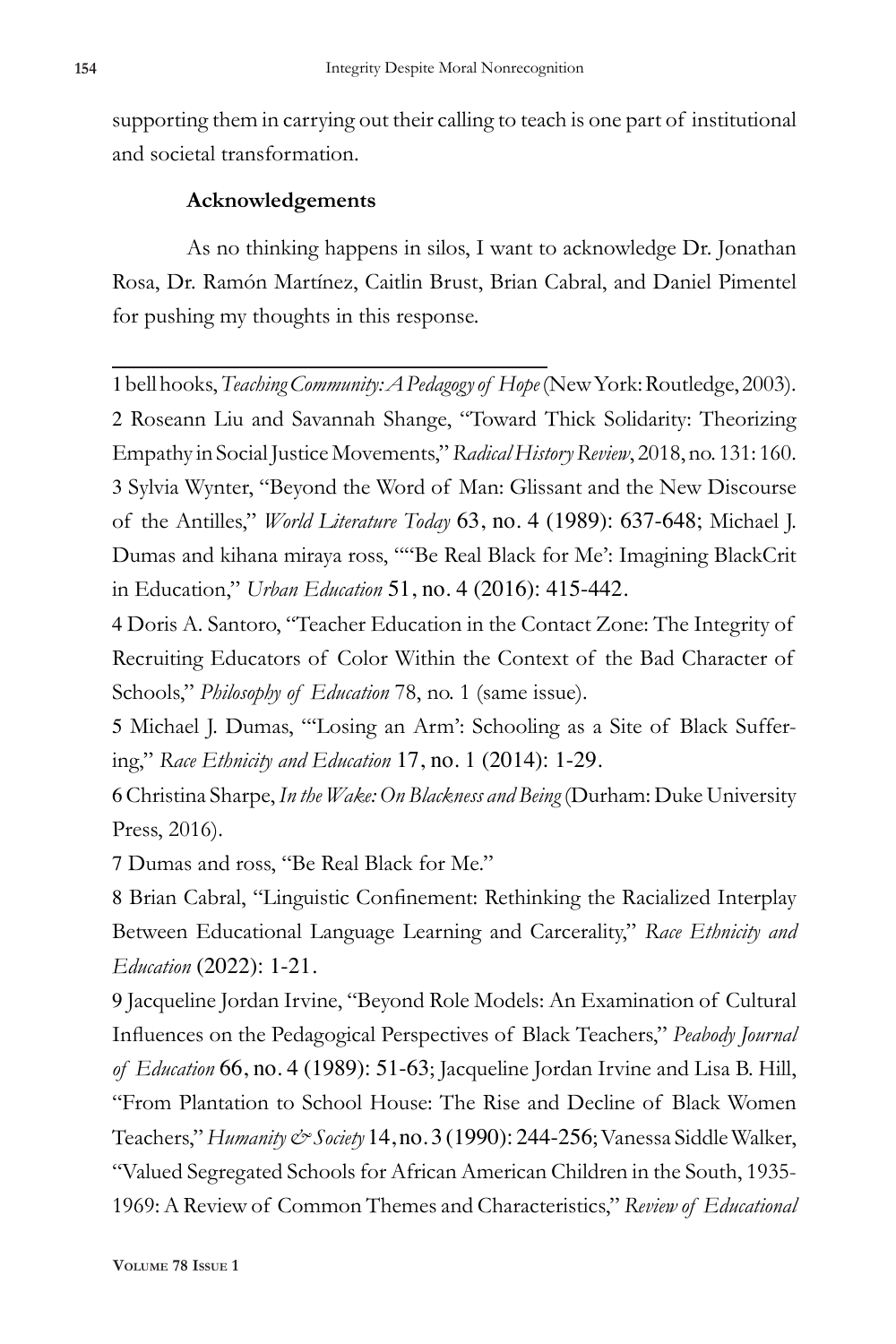supporting them in carrying out their calling to teach is one part of institutional and societal transformation.

## **Acknowledgements**

As no thinking happens in silos, I want to acknowledge Dr. Jonathan Rosa, Dr. Ramón Martínez, Caitlin Brust, Brian Cabral, and Daniel Pimentel for pushing my thoughts in this response.

1 bell hooks, *Teaching Community: A Pedagogy of Hope* (New York: Routledge, 2003). 2 Roseann Liu and Savannah Shange, "Toward Thick Solidarity: Theorizing Empathy in Social Justice Movements," *Radical History Review*, 2018, no. 131: 160. 3 Sylvia Wynter, "Beyond the Word of Man: Glissant and the New Discourse of the Antilles," *World Literature Today* 63, no. 4 (1989): 637-648; Michael J. Dumas and kihana miraya ross, ""Be Real Black for Me': Imagining BlackCrit in Education," *Urban Education* 51, no. 4 (2016): 415-442.

4 Doris A. Santoro, "Teacher Education in the Contact Zone: The Integrity of Recruiting Educators of Color Within the Context of the Bad Character of Schools," *Philosophy of Education* 78, no. 1 (same issue).

5 Michael J. Dumas, "'Losing an Arm': Schooling as a Site of Black Suffering," *Race Ethnicity and Education* 17, no. 1 (2014): 1-29.

6 Christina Sharpe,*In the Wake: On Blackness and Being* (Durham: Duke University Press, 2016).

7 Dumas and ross, "Be Real Black for Me."

8 Brian Cabral, "Linguistic Confinement: Rethinking the Racialized Interplay Between Educational Language Learning and Carcerality," *Race Ethnicity and Education* (2022): 1-21.

9 Jacqueline Jordan Irvine, "Beyond Role Models: An Examination of Cultural Influences on the Pedagogical Perspectives of Black Teachers," *Peabody Journal of Education* 66, no. 4 (1989): 51-63; Jacqueline Jordan Irvine and Lisa B. Hill, "From Plantation to School House: The Rise and Decline of Black Women Teachers,"*Humanity & Society* 14, no. 3 (1990): 244-256; Vanessa Siddle Walker, "Valued Segregated Schools for African American Children in the South, 1935- 1969: A Review of Common Themes and Characteristics," *Review of Educational*